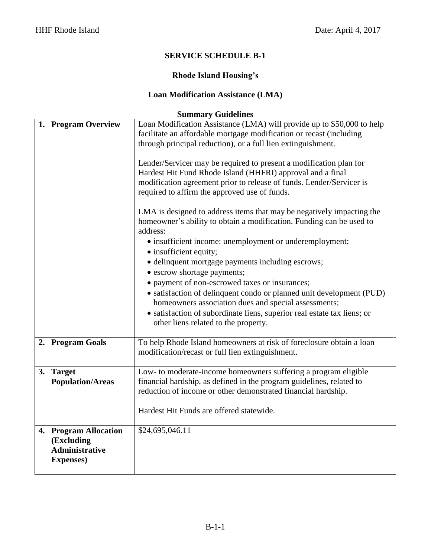# **Rhode Island Housing's**

# **Loan Modification Assistance (LMA)**

|    | 1. Program Overview     | Loan Modification Assistance (LMA) will provide up to \$50,000 to help                                                                        |
|----|-------------------------|-----------------------------------------------------------------------------------------------------------------------------------------------|
|    |                         | facilitate an affordable mortgage modification or recast (including                                                                           |
|    |                         | through principal reduction), or a full lien extinguishment.                                                                                  |
|    |                         | Lender/Servicer may be required to present a modification plan for                                                                            |
|    |                         | Hardest Hit Fund Rhode Island (HHFRI) approval and a final                                                                                    |
|    |                         | modification agreement prior to release of funds. Lender/Servicer is                                                                          |
|    |                         | required to affirm the approved use of funds.                                                                                                 |
|    |                         | LMA is designed to address items that may be negatively impacting the<br>homeowner's ability to obtain a modification. Funding can be used to |
|    |                         | address:                                                                                                                                      |
|    |                         | • insufficient income: unemployment or underemployment;                                                                                       |
|    |                         | • insufficient equity;                                                                                                                        |
|    |                         | · delinquent mortgage payments including escrows;                                                                                             |
|    |                         | • escrow shortage payments;                                                                                                                   |
|    |                         | • payment of non-escrowed taxes or insurances;                                                                                                |
|    |                         | • satisfaction of delinquent condo or planned unit development (PUD)                                                                          |
|    |                         | homeowners association dues and special assessments;                                                                                          |
|    |                         | • satisfaction of subordinate liens, superior real estate tax liens; or<br>other liens related to the property.                               |
|    |                         |                                                                                                                                               |
| 2. | <b>Program Goals</b>    | To help Rhode Island homeowners at risk of foreclosure obtain a loan<br>modification/recast or full lien extinguishment.                      |
| 3. | <b>Target</b>           | Low- to moderate-income homeowners suffering a program eligible                                                                               |
|    | <b>Population/Areas</b> | financial hardship, as defined in the program guidelines, related to                                                                          |
|    |                         | reduction of income or other demonstrated financial hardship.                                                                                 |
|    |                         |                                                                                                                                               |
|    |                         | Hardest Hit Funds are offered statewide.                                                                                                      |
|    | 4. Program Allocation   | \$24,695,046.11                                                                                                                               |
|    | (Excluding              |                                                                                                                                               |
|    | <b>Administrative</b>   |                                                                                                                                               |
|    | <b>Expenses</b> )       |                                                                                                                                               |
|    |                         |                                                                                                                                               |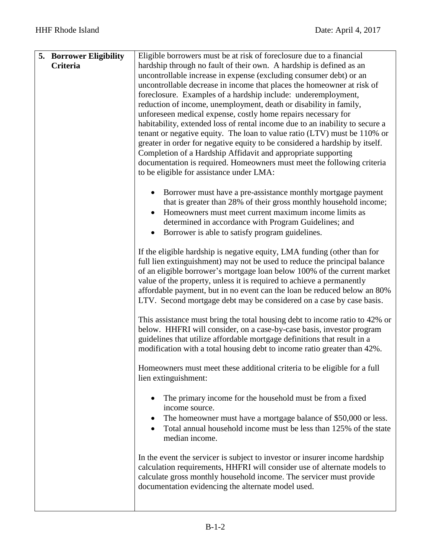| <b>5. Borrower Eligibility</b><br>Criteria | Eligible borrowers must be at risk of foreclosure due to a financial<br>hardship through no fault of their own. A hardship is defined as an<br>uncontrollable increase in expense (excluding consumer debt) or an<br>uncontrollable decrease in income that places the homeowner at risk of<br>foreclosure. Examples of a hardship include: underemployment,<br>reduction of income, unemployment, death or disability in family,<br>unforeseen medical expense, costly home repairs necessary for<br>habitability, extended loss of rental income due to an inability to secure a<br>tenant or negative equity. The loan to value ratio (LTV) must be 110% or<br>greater in order for negative equity to be considered a hardship by itself.<br>Completion of a Hardship Affidavit and appropriate supporting<br>documentation is required. Homeowners must meet the following criteria<br>to be eligible for assistance under LMA: |
|--------------------------------------------|--------------------------------------------------------------------------------------------------------------------------------------------------------------------------------------------------------------------------------------------------------------------------------------------------------------------------------------------------------------------------------------------------------------------------------------------------------------------------------------------------------------------------------------------------------------------------------------------------------------------------------------------------------------------------------------------------------------------------------------------------------------------------------------------------------------------------------------------------------------------------------------------------------------------------------------|
|                                            | Borrower must have a pre-assistance monthly mortgage payment<br>that is greater than 28% of their gross monthly household income;<br>Homeowners must meet current maximum income limits as<br>determined in accordance with Program Guidelines; and<br>Borrower is able to satisfy program guidelines.                                                                                                                                                                                                                                                                                                                                                                                                                                                                                                                                                                                                                               |
|                                            | If the eligible hardship is negative equity, LMA funding (other than for<br>full lien extinguishment) may not be used to reduce the principal balance<br>of an eligible borrower's mortgage loan below 100% of the current market<br>value of the property, unless it is required to achieve a permanently<br>affordable payment, but in no event can the loan be reduced below an 80%<br>LTV. Second mortgage debt may be considered on a case by case basis.                                                                                                                                                                                                                                                                                                                                                                                                                                                                       |
|                                            | This assistance must bring the total housing debt to income ratio to 42% or<br>below. HHFRI will consider, on a case-by-case basis, investor program<br>guidelines that utilize affordable mortgage definitions that result in a<br>modification with a total housing debt to income ratio greater than 42%.                                                                                                                                                                                                                                                                                                                                                                                                                                                                                                                                                                                                                         |
|                                            | Homeowners must meet these additional criteria to be eligible for a full<br>lien extinguishment:                                                                                                                                                                                                                                                                                                                                                                                                                                                                                                                                                                                                                                                                                                                                                                                                                                     |
|                                            | The primary income for the household must be from a fixed<br>income source.<br>The homeowner must have a mortgage balance of \$50,000 or less.<br>$\bullet$<br>Total annual household income must be less than 125% of the state<br>$\bullet$<br>median income.                                                                                                                                                                                                                                                                                                                                                                                                                                                                                                                                                                                                                                                                      |
|                                            | In the event the servicer is subject to investor or insurer income hardship<br>calculation requirements, HHFRI will consider use of alternate models to<br>calculate gross monthly household income. The servicer must provide<br>documentation evidencing the alternate model used.                                                                                                                                                                                                                                                                                                                                                                                                                                                                                                                                                                                                                                                 |
|                                            |                                                                                                                                                                                                                                                                                                                                                                                                                                                                                                                                                                                                                                                                                                                                                                                                                                                                                                                                      |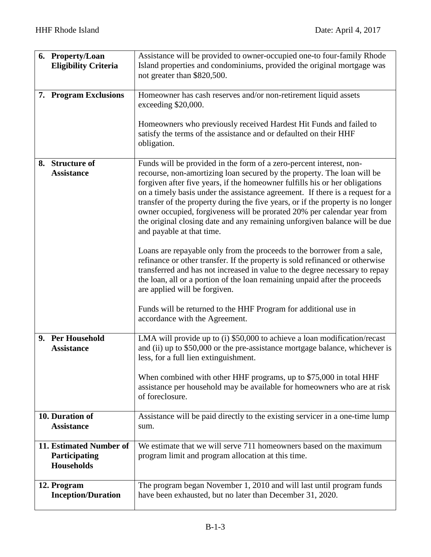| 6. Property/Loan                                              | Assistance will be provided to owner-occupied one-to four-family Rhode                                                                                                                                                                                                                                                                                                                                                                                                                                           |
|---------------------------------------------------------------|------------------------------------------------------------------------------------------------------------------------------------------------------------------------------------------------------------------------------------------------------------------------------------------------------------------------------------------------------------------------------------------------------------------------------------------------------------------------------------------------------------------|
| <b>Eligibility Criteria</b>                                   | Island properties and condominiums, provided the original mortgage was                                                                                                                                                                                                                                                                                                                                                                                                                                           |
|                                                               | not greater than \$820,500.                                                                                                                                                                                                                                                                                                                                                                                                                                                                                      |
|                                                               |                                                                                                                                                                                                                                                                                                                                                                                                                                                                                                                  |
| 7. Program Exclusions                                         | Homeowner has cash reserves and/or non-retirement liquid assets<br>exceeding \$20,000.                                                                                                                                                                                                                                                                                                                                                                                                                           |
|                                                               |                                                                                                                                                                                                                                                                                                                                                                                                                                                                                                                  |
|                                                               | Homeowners who previously received Hardest Hit Funds and failed to<br>satisfy the terms of the assistance and or defaulted on their HHF<br>obligation.                                                                                                                                                                                                                                                                                                                                                           |
| 8. Structure of                                               | Funds will be provided in the form of a zero-percent interest, non-                                                                                                                                                                                                                                                                                                                                                                                                                                              |
| <b>Assistance</b>                                             | recourse, non-amortizing loan secured by the property. The loan will be<br>forgiven after five years, if the homeowner fulfills his or her obligations<br>on a timely basis under the assistance agreement. If there is a request for a<br>transfer of the property during the five years, or if the property is no longer<br>owner occupied, forgiveness will be prorated 20% per calendar year from<br>the original closing date and any remaining unforgiven balance will be due<br>and payable at that time. |
|                                                               | Loans are repayable only from the proceeds to the borrower from a sale,<br>refinance or other transfer. If the property is sold refinanced or otherwise<br>transferred and has not increased in value to the degree necessary to repay<br>the loan, all or a portion of the loan remaining unpaid after the proceeds<br>are applied will be forgiven.                                                                                                                                                            |
|                                                               | Funds will be returned to the HHF Program for additional use in<br>accordance with the Agreement.                                                                                                                                                                                                                                                                                                                                                                                                                |
| 9. Per Household<br><b>Assistance</b>                         | LMA will provide up to (i) \$50,000 to achieve a loan modification/recast<br>and (ii) up to \$50,000 or the pre-assistance mortgage balance, whichever is<br>less, for a full lien extinguishment.                                                                                                                                                                                                                                                                                                               |
|                                                               | When combined with other HHF programs, up to \$75,000 in total HHF<br>assistance per household may be available for homeowners who are at risk<br>of foreclosure.                                                                                                                                                                                                                                                                                                                                                |
| 10. Duration of<br><b>Assistance</b>                          | Assistance will be paid directly to the existing servicer in a one-time lump<br>sum.                                                                                                                                                                                                                                                                                                                                                                                                                             |
| 11. Estimated Number of<br>Participating<br><b>Households</b> | We estimate that we will serve 711 homeowners based on the maximum<br>program limit and program allocation at this time.                                                                                                                                                                                                                                                                                                                                                                                         |
| 12. Program<br><b>Inception/Duration</b>                      | The program began November 1, 2010 and will last until program funds<br>have been exhausted, but no later than December 31, 2020.                                                                                                                                                                                                                                                                                                                                                                                |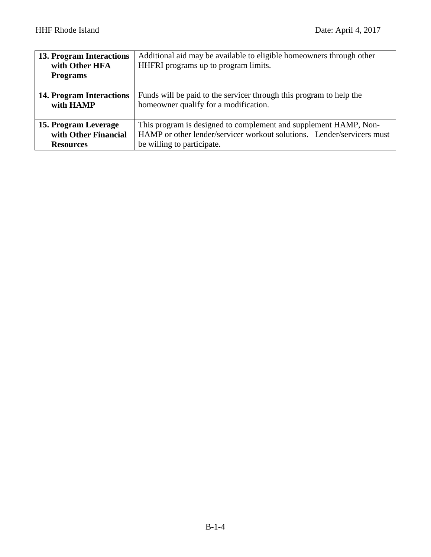| 13. Program Interactions<br>with Other HFA<br><b>Programs</b> | Additional aid may be available to eligible homeowners through other<br>HHFRI programs up to program limits. |
|---------------------------------------------------------------|--------------------------------------------------------------------------------------------------------------|
| <b>14. Program Interactions</b>                               | Funds will be paid to the servicer through this program to help the                                          |
| with HAMP                                                     | homeowner qualify for a modification.                                                                        |
| 15. Program Leverage                                          | This program is designed to complement and supplement HAMP, Non-                                             |
| with Other Financial                                          | HAMP or other lender/servicer workout solutions. Lender/servicers must                                       |
| <b>Resources</b>                                              | be willing to participate.                                                                                   |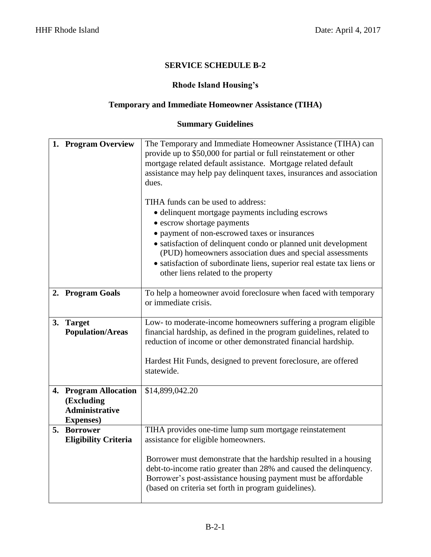#### **Rhode Island Housing's**

# **Temporary and Immediate Homeowner Assistance (TIHA)**

| 1. Program Overview                                                               | The Temporary and Immediate Homeowner Assistance (TIHA) can<br>provide up to \$50,000 for partial or full reinstatement or other<br>mortgage related default assistance. Mortgage related default<br>assistance may help pay delinquent taxes, insurances and association<br>dues.<br>TIHA funds can be used to address: |
|-----------------------------------------------------------------------------------|--------------------------------------------------------------------------------------------------------------------------------------------------------------------------------------------------------------------------------------------------------------------------------------------------------------------------|
|                                                                                   | • delinquent mortgage payments including escrows                                                                                                                                                                                                                                                                         |
|                                                                                   | • escrow shortage payments<br>• payment of non-escrowed taxes or insurances                                                                                                                                                                                                                                              |
|                                                                                   | • satisfaction of delinquent condo or planned unit development<br>(PUD) homeowners association dues and special assessments<br>· satisfaction of subordinate liens, superior real estate tax liens or<br>other liens related to the property                                                                             |
| 2. Program Goals                                                                  | To help a homeowner avoid foreclosure when faced with temporary<br>or immediate crisis.                                                                                                                                                                                                                                  |
| 3. Target<br><b>Population/Areas</b>                                              | Low- to moderate-income homeowners suffering a program eligible<br>financial hardship, as defined in the program guidelines, related to<br>reduction of income or other demonstrated financial hardship.                                                                                                                 |
|                                                                                   | Hardest Hit Funds, designed to prevent foreclosure, are offered<br>statewide.                                                                                                                                                                                                                                            |
| 4. Program Allocation<br>(Excluding<br><b>Administrative</b><br><b>Expenses</b> ) | \$14,899,042.20                                                                                                                                                                                                                                                                                                          |
| 5. Borrower<br><b>Eligibility Criteria</b>                                        | TIHA provides one-time lump sum mortgage reinstatement<br>assistance for eligible homeowners.                                                                                                                                                                                                                            |
|                                                                                   | Borrower must demonstrate that the hardship resulted in a housing<br>debt-to-income ratio greater than 28% and caused the delinquency.<br>Borrower's post-assistance housing payment must be affordable<br>(based on criteria set forth in program guidelines).                                                          |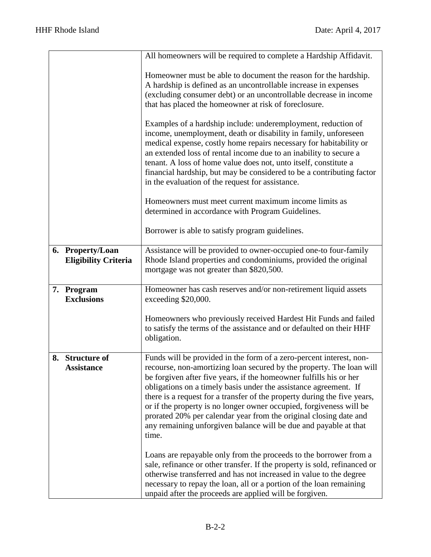|                                                 | All homeowners will be required to complete a Hardship Affidavit.                                                                                                                                                                                                                                                                                                                                                                                                                                                                                                                          |
|-------------------------------------------------|--------------------------------------------------------------------------------------------------------------------------------------------------------------------------------------------------------------------------------------------------------------------------------------------------------------------------------------------------------------------------------------------------------------------------------------------------------------------------------------------------------------------------------------------------------------------------------------------|
|                                                 | Homeowner must be able to document the reason for the hardship.<br>A hardship is defined as an uncontrollable increase in expenses<br>(excluding consumer debt) or an uncontrollable decrease in income<br>that has placed the homeowner at risk of foreclosure.                                                                                                                                                                                                                                                                                                                           |
|                                                 | Examples of a hardship include: underemployment, reduction of<br>income, unemployment, death or disability in family, unforeseen<br>medical expense, costly home repairs necessary for habitability or<br>an extended loss of rental income due to an inability to secure a<br>tenant. A loss of home value does not, unto itself, constitute a<br>financial hardship, but may be considered to be a contributing factor<br>in the evaluation of the request for assistance.                                                                                                               |
|                                                 | Homeowners must meet current maximum income limits as<br>determined in accordance with Program Guidelines.                                                                                                                                                                                                                                                                                                                                                                                                                                                                                 |
|                                                 | Borrower is able to satisfy program guidelines.                                                                                                                                                                                                                                                                                                                                                                                                                                                                                                                                            |
| 6. Property/Loan<br><b>Eligibility Criteria</b> | Assistance will be provided to owner-occupied one-to four-family<br>Rhode Island properties and condominiums, provided the original<br>mortgage was not greater than \$820,500.                                                                                                                                                                                                                                                                                                                                                                                                            |
| 7. Program<br><b>Exclusions</b>                 | Homeowner has cash reserves and/or non-retirement liquid assets<br>exceeding \$20,000.                                                                                                                                                                                                                                                                                                                                                                                                                                                                                                     |
|                                                 | Homeowners who previously received Hardest Hit Funds and failed<br>to satisfy the terms of the assistance and or defaulted on their HHF<br>obligation.                                                                                                                                                                                                                                                                                                                                                                                                                                     |
| 8. Structure of<br><b>Assistance</b>            | Funds will be provided in the form of a zero-percent interest, non-<br>recourse, non-amortizing loan secured by the property. The loan will<br>be forgiven after five years, if the homeowner fulfills his or her<br>obligations on a timely basis under the assistance agreement. If<br>there is a request for a transfer of the property during the five years,<br>or if the property is no longer owner occupied, forgiveness will be<br>prorated 20% per calendar year from the original closing date and<br>any remaining unforgiven balance will be due and payable at that<br>time. |
|                                                 | Loans are repayable only from the proceeds to the borrower from a<br>sale, refinance or other transfer. If the property is sold, refinanced or<br>otherwise transferred and has not increased in value to the degree<br>necessary to repay the loan, all or a portion of the loan remaining<br>unpaid after the proceeds are applied will be forgiven.                                                                                                                                                                                                                                     |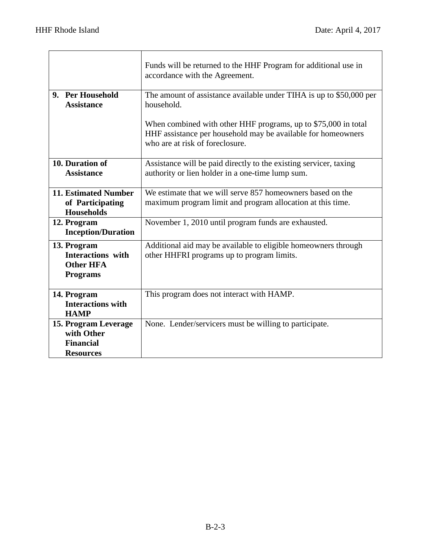|                                                                                | Funds will be returned to the HHF Program for additional use in<br>accordance with the Agreement.                                                                 |
|--------------------------------------------------------------------------------|-------------------------------------------------------------------------------------------------------------------------------------------------------------------|
| 9. Per Household<br><b>Assistance</b>                                          | The amount of assistance available under TIHA is up to \$50,000 per<br>household.                                                                                 |
|                                                                                | When combined with other HHF programs, up to \$75,000 in total<br>HHF assistance per household may be available for homeowners<br>who are at risk of foreclosure. |
| 10. Duration of<br><b>Assistance</b>                                           | Assistance will be paid directly to the existing servicer, taxing<br>authority or lien holder in a one-time lump sum.                                             |
| <b>11. Estimated Number</b><br>of Participating<br><b>Households</b>           | We estimate that we will serve 857 homeowners based on the<br>maximum program limit and program allocation at this time.                                          |
| 12. Program<br><b>Inception/Duration</b>                                       | November 1, 2010 until program funds are exhausted.                                                                                                               |
| 13. Program<br><b>Interactions</b> with<br><b>Other HFA</b><br><b>Programs</b> | Additional aid may be available to eligible homeowners through<br>other HHFRI programs up to program limits.                                                      |
| 14. Program<br><b>Interactions with</b><br><b>HAMP</b>                         | This program does not interact with HAMP.                                                                                                                         |
| 15. Program Leverage<br>with Other<br><b>Financial</b><br><b>Resources</b>     | None. Lender/servicers must be willing to participate.                                                                                                            |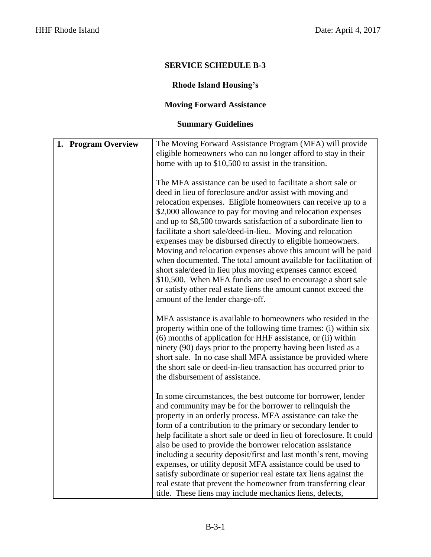# **Rhode Island Housing's**

# **Moving Forward Assistance**

| 1. Program Overview | The Moving Forward Assistance Program (MFA) will provide                                                                  |
|---------------------|---------------------------------------------------------------------------------------------------------------------------|
|                     | eligible homeowners who can no longer afford to stay in their                                                             |
|                     | home with up to \$10,500 to assist in the transition.                                                                     |
|                     |                                                                                                                           |
|                     | The MFA assistance can be used to facilitate a short sale or                                                              |
|                     | deed in lieu of foreclosure and/or assist with moving and                                                                 |
|                     | relocation expenses. Eligible homeowners can receive up to a                                                              |
|                     | \$2,000 allowance to pay for moving and relocation expenses                                                               |
|                     | and up to \$8,500 towards satisfaction of a subordinate lien to                                                           |
|                     | facilitate a short sale/deed-in-lieu. Moving and relocation                                                               |
|                     | expenses may be disbursed directly to eligible homeowners.                                                                |
|                     | Moving and relocation expenses above this amount will be paid                                                             |
|                     | when documented. The total amount available for facilitation of                                                           |
|                     | short sale/deed in lieu plus moving expenses cannot exceed<br>\$10,500. When MFA funds are used to encourage a short sale |
|                     | or satisfy other real estate liens the amount cannot exceed the                                                           |
|                     | amount of the lender charge-off.                                                                                          |
|                     |                                                                                                                           |
|                     | MFA assistance is available to homeowners who resided in the                                                              |
|                     | property within one of the following time frames: (i) within six                                                          |
|                     | (6) months of application for HHF assistance, or (ii) within                                                              |
|                     | ninety (90) days prior to the property having been listed as a                                                            |
|                     | short sale. In no case shall MFA assistance be provided where                                                             |
|                     | the short sale or deed-in-lieu transaction has occurred prior to                                                          |
|                     | the disbursement of assistance.                                                                                           |
|                     |                                                                                                                           |
|                     | In some circumstances, the best outcome for borrower, lender<br>and community may be for the borrower to relinquish the   |
|                     | property in an orderly process. MFA assistance can take the                                                               |
|                     | form of a contribution to the primary or secondary lender to                                                              |
|                     | help facilitate a short sale or deed in lieu of foreclosure. It could                                                     |
|                     | also be used to provide the borrower relocation assistance                                                                |
|                     | including a security deposit/first and last month's rent, moving                                                          |
|                     | expenses, or utility deposit MFA assistance could be used to                                                              |
|                     | satisfy subordinate or superior real estate tax liens against the                                                         |
|                     | real estate that prevent the homeowner from transferring clear                                                            |
|                     | title. These liens may include mechanics liens, defects,                                                                  |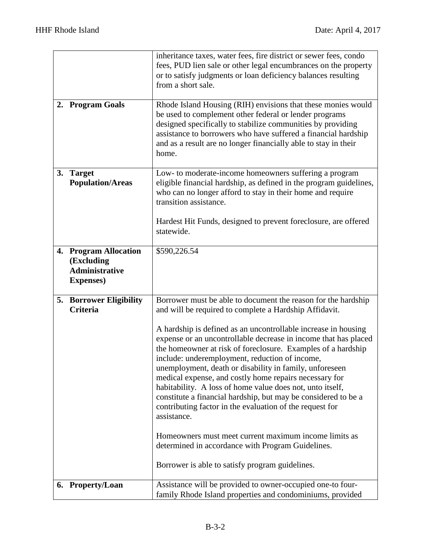|    |                                                                                   | inheritance taxes, water fees, fire district or sewer fees, condo<br>fees, PUD lien sale or other legal encumbrances on the property<br>or to satisfy judgments or loan deficiency balances resulting                                                                                                                                                                                                                                                                                                                                                                                                                                                                                                                                                                                                                                                                          |
|----|-----------------------------------------------------------------------------------|--------------------------------------------------------------------------------------------------------------------------------------------------------------------------------------------------------------------------------------------------------------------------------------------------------------------------------------------------------------------------------------------------------------------------------------------------------------------------------------------------------------------------------------------------------------------------------------------------------------------------------------------------------------------------------------------------------------------------------------------------------------------------------------------------------------------------------------------------------------------------------|
|    |                                                                                   | from a short sale.                                                                                                                                                                                                                                                                                                                                                                                                                                                                                                                                                                                                                                                                                                                                                                                                                                                             |
| 2. | <b>Program Goals</b>                                                              | Rhode Island Housing (RIH) envisions that these monies would<br>be used to complement other federal or lender programs<br>designed specifically to stabilize communities by providing<br>assistance to borrowers who have suffered a financial hardship<br>and as a result are no longer financially able to stay in their<br>home.                                                                                                                                                                                                                                                                                                                                                                                                                                                                                                                                            |
| 3. | <b>Target</b><br><b>Population/Areas</b>                                          | Low- to moderate-income homeowners suffering a program<br>eligible financial hardship, as defined in the program guidelines,<br>who can no longer afford to stay in their home and require<br>transition assistance.<br>Hardest Hit Funds, designed to prevent foreclosure, are offered<br>statewide.                                                                                                                                                                                                                                                                                                                                                                                                                                                                                                                                                                          |
|    | 4. Program Allocation<br>(Excluding<br><b>Administrative</b><br><b>Expenses</b> ) | \$590,226.54                                                                                                                                                                                                                                                                                                                                                                                                                                                                                                                                                                                                                                                                                                                                                                                                                                                                   |
|    | <b>5. Borrower Eligibility</b><br><b>Criteria</b>                                 | Borrower must be able to document the reason for the hardship<br>and will be required to complete a Hardship Affidavit.<br>A hardship is defined as an uncontrollable increase in housing<br>expense or an uncontrollable decrease in income that has placed<br>the homeowner at risk of foreclosure. Examples of a hardship<br>include: underemployment, reduction of income,<br>unemployment, death or disability in family, unforeseen<br>medical expense, and costly home repairs necessary for<br>habitability. A loss of home value does not, unto itself,<br>constitute a financial hardship, but may be considered to be a<br>contributing factor in the evaluation of the request for<br>assistance.<br>Homeowners must meet current maximum income limits as<br>determined in accordance with Program Guidelines.<br>Borrower is able to satisfy program guidelines. |
|    | 6. Property/Loan                                                                  | Assistance will be provided to owner-occupied one-to four-<br>family Rhode Island properties and condominiums, provided                                                                                                                                                                                                                                                                                                                                                                                                                                                                                                                                                                                                                                                                                                                                                        |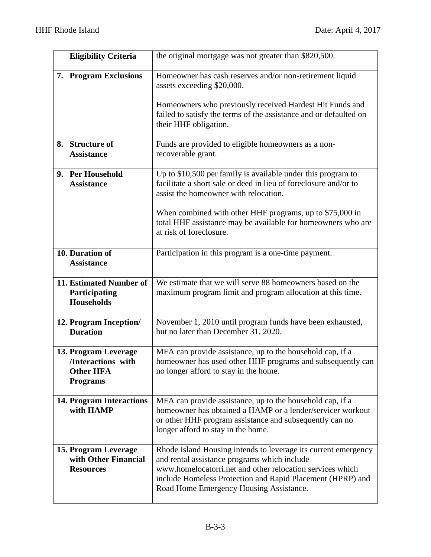| <b>Eligibility Criteria</b>                                                       | the original mortgage was not greater than \$820,500.                                                                                                                                                                                                                                |
|-----------------------------------------------------------------------------------|--------------------------------------------------------------------------------------------------------------------------------------------------------------------------------------------------------------------------------------------------------------------------------------|
| 7. Program Exclusions                                                             | Homeowner has cash reserves and/or non-retirement liquid<br>assets exceeding \$20,000.                                                                                                                                                                                               |
|                                                                                   | Homeowners who previously received Hardest Hit Funds and<br>failed to satisfy the terms of the assistance and or defaulted on<br>their HHF obligation.                                                                                                                               |
| 8. Structure of<br><b>Assistance</b>                                              | Funds are provided to eligible homeowners as a non-<br>recoverable grant.                                                                                                                                                                                                            |
| 9. Per Household<br><b>Assistance</b>                                             | Up to \$10,500 per family is available under this program to<br>facilitate a short sale or deed in lieu of foreclosure and/or to<br>assist the homeowner with relocation.                                                                                                            |
|                                                                                   | When combined with other HHF programs, up to \$75,000 in<br>total HHF assistance may be available for homeowners who are<br>at risk of foreclosure.                                                                                                                                  |
| 10. Duration of<br><b>Assistance</b>                                              | Participation in this program is a one-time payment.                                                                                                                                                                                                                                 |
| 11. Estimated Number of<br>Participating<br><b>Households</b>                     | We estimate that we will serve 88 homeowners based on the<br>maximum program limit and program allocation at this time.                                                                                                                                                              |
| 12. Program Inception/<br><b>Duration</b>                                         | November 1, 2010 until program funds have been exhausted,<br>but no later than December 31, 2020.                                                                                                                                                                                    |
| 13. Program Leverage<br>/Interactions with<br><b>Other HFA</b><br><b>Programs</b> | MFA can provide assistance, up to the household cap, if a<br>homeowner has used other HHF programs and subsequently can<br>no longer afford to stay in the home.                                                                                                                     |
| <b>14. Program Interactions</b><br>with HAMP                                      | MFA can provide assistance, up to the household cap, if a<br>homeowner has obtained a HAMP or a lender/servicer workout<br>or other HHF program assistance and subsequently can no<br>longer afford to stay in the home.                                                             |
| 15. Program Leverage<br>with Other Financial<br><b>Resources</b>                  | Rhode Island Housing intends to leverage its current emergency<br>and rental assistance programs which include<br>www.homelocatorri.net and other relocation services which<br>include Homeless Protection and Rapid Placement (HPRP) and<br>Road Home Emergency Housing Assistance. |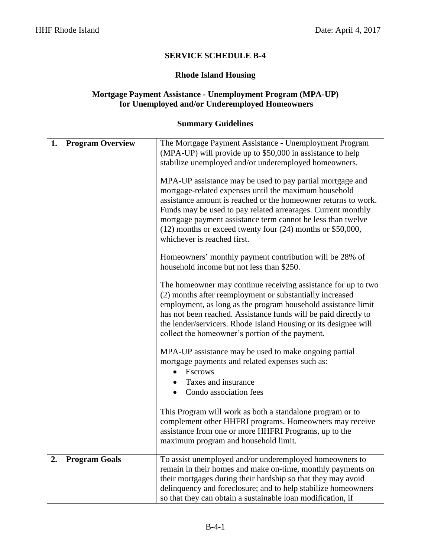#### **Rhode Island Housing**

#### **Mortgage Payment Assistance - Unemployment Program (MPA-UP) for Unemployed and/or Underemployed Homeowners**

| 1. | <b>Program Overview</b> | The Mortgage Payment Assistance - Unemployment Program<br>(MPA-UP) will provide up to \$50,000 in assistance to help<br>stabilize unemployed and/or underemployed homeowners.<br>MPA-UP assistance may be used to pay partial mortgage and<br>mortgage-related expenses until the maximum household<br>assistance amount is reached or the homeowner returns to work.<br>Funds may be used to pay related arrearages. Current monthly<br>mortgage payment assistance term cannot be less than twelve<br>$(12)$ months or exceed twenty four $(24)$ months or \$50,000,<br>whichever is reached first.<br>Homeowners' monthly payment contribution will be 28% of<br>household income but not less than \$250.<br>The homeowner may continue receiving assistance for up to two<br>(2) months after reemployment or substantially increased |
|----|-------------------------|--------------------------------------------------------------------------------------------------------------------------------------------------------------------------------------------------------------------------------------------------------------------------------------------------------------------------------------------------------------------------------------------------------------------------------------------------------------------------------------------------------------------------------------------------------------------------------------------------------------------------------------------------------------------------------------------------------------------------------------------------------------------------------------------------------------------------------------------|
|    |                         | employment, as long as the program household assistance limit<br>has not been reached. Assistance funds will be paid directly to<br>the lender/servicers. Rhode Island Housing or its designee will<br>collect the homeowner's portion of the payment.<br>MPA-UP assistance may be used to make ongoing partial                                                                                                                                                                                                                                                                                                                                                                                                                                                                                                                            |
|    |                         | mortgage payments and related expenses such as:<br><b>Escrows</b><br>Taxes and insurance<br>Condo association fees                                                                                                                                                                                                                                                                                                                                                                                                                                                                                                                                                                                                                                                                                                                         |
|    |                         | This Program will work as both a standalone program or to<br>complement other HHFRI programs. Homeowners may receive<br>assistance from one or more HHFRI Programs, up to the<br>maximum program and household limit.                                                                                                                                                                                                                                                                                                                                                                                                                                                                                                                                                                                                                      |
| 2. | <b>Program Goals</b>    | To assist unemployed and/or underemployed homeowners to<br>remain in their homes and make on-time, monthly payments on<br>their mortgages during their hardship so that they may avoid<br>delinquency and foreclosure; and to help stabilize homeowners<br>so that they can obtain a sustainable loan modification, if                                                                                                                                                                                                                                                                                                                                                                                                                                                                                                                     |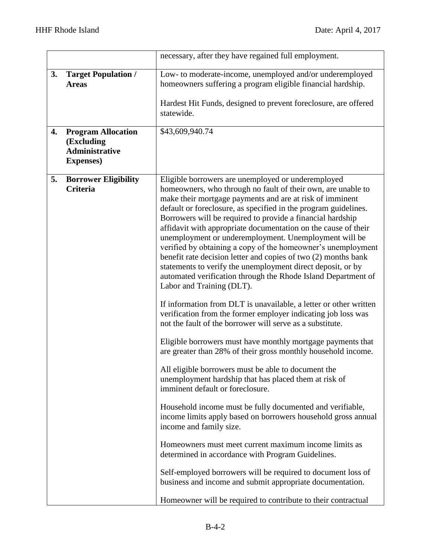|                                                                                             | necessary, after they have regained full employment.                                                                                                                                                                                                                                                                                                                                                                                                                                                                                                                                                                                                                                                                                                                                                                                                                                                                                                                                                                                                                                                                                                                                                                                                                                                                                                                                                                                                                                                                                                                                                                                 |
|---------------------------------------------------------------------------------------------|--------------------------------------------------------------------------------------------------------------------------------------------------------------------------------------------------------------------------------------------------------------------------------------------------------------------------------------------------------------------------------------------------------------------------------------------------------------------------------------------------------------------------------------------------------------------------------------------------------------------------------------------------------------------------------------------------------------------------------------------------------------------------------------------------------------------------------------------------------------------------------------------------------------------------------------------------------------------------------------------------------------------------------------------------------------------------------------------------------------------------------------------------------------------------------------------------------------------------------------------------------------------------------------------------------------------------------------------------------------------------------------------------------------------------------------------------------------------------------------------------------------------------------------------------------------------------------------------------------------------------------------|
| 3.<br><b>Target Population /</b><br><b>Areas</b>                                            | Low- to moderate-income, unemployed and/or underemployed<br>homeowners suffering a program eligible financial hardship.<br>Hardest Hit Funds, designed to prevent foreclosure, are offered<br>statewide.                                                                                                                                                                                                                                                                                                                                                                                                                                                                                                                                                                                                                                                                                                                                                                                                                                                                                                                                                                                                                                                                                                                                                                                                                                                                                                                                                                                                                             |
| <b>Program Allocation</b><br>4.<br>(Excluding<br><b>Administrative</b><br><b>Expenses</b> ) | \$43,609,940.74                                                                                                                                                                                                                                                                                                                                                                                                                                                                                                                                                                                                                                                                                                                                                                                                                                                                                                                                                                                                                                                                                                                                                                                                                                                                                                                                                                                                                                                                                                                                                                                                                      |
| 5.<br><b>Borrower Eligibility</b><br><b>Criteria</b>                                        | Eligible borrowers are unemployed or underemployed<br>homeowners, who through no fault of their own, are unable to<br>make their mortgage payments and are at risk of imminent<br>default or foreclosure, as specified in the program guidelines.<br>Borrowers will be required to provide a financial hardship<br>affidavit with appropriate documentation on the cause of their<br>unemployment or underemployment. Unemployment will be<br>verified by obtaining a copy of the homeowner's unemployment<br>benefit rate decision letter and copies of two (2) months bank<br>statements to verify the unemployment direct deposit, or by<br>automated verification through the Rhode Island Department of<br>Labor and Training (DLT).<br>If information from DLT is unavailable, a letter or other written<br>verification from the former employer indicating job loss was<br>not the fault of the borrower will serve as a substitute.<br>Eligible borrowers must have monthly mortgage payments that<br>are greater than 28% of their gross monthly household income.<br>All eligible borrowers must be able to document the<br>unemployment hardship that has placed them at risk of<br>imminent default or foreclosure.<br>Household income must be fully documented and verifiable,<br>income limits apply based on borrowers household gross annual<br>income and family size.<br>Homeowners must meet current maximum income limits as<br>determined in accordance with Program Guidelines.<br>Self-employed borrowers will be required to document loss of<br>business and income and submit appropriate documentation. |
|                                                                                             | Homeowner will be required to contribute to their contractual                                                                                                                                                                                                                                                                                                                                                                                                                                                                                                                                                                                                                                                                                                                                                                                                                                                                                                                                                                                                                                                                                                                                                                                                                                                                                                                                                                                                                                                                                                                                                                        |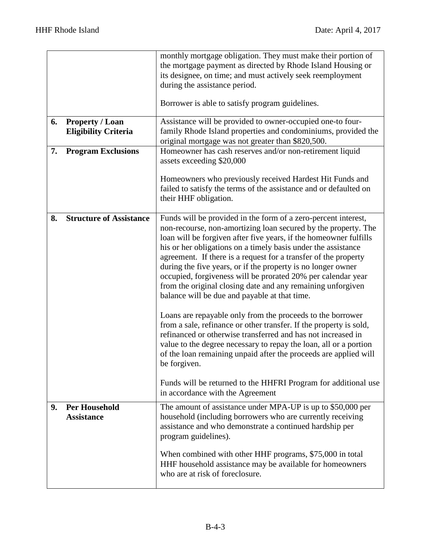|    |                                                       | monthly mortgage obligation. They must make their portion of<br>the mortgage payment as directed by Rhode Island Housing or<br>its designee, on time; and must actively seek reemployment<br>during the assistance period.                                                                                                                                                                                                                                                                                                                                                                |
|----|-------------------------------------------------------|-------------------------------------------------------------------------------------------------------------------------------------------------------------------------------------------------------------------------------------------------------------------------------------------------------------------------------------------------------------------------------------------------------------------------------------------------------------------------------------------------------------------------------------------------------------------------------------------|
|    |                                                       | Borrower is able to satisfy program guidelines.                                                                                                                                                                                                                                                                                                                                                                                                                                                                                                                                           |
| 6. | <b>Property / Loan</b><br><b>Eligibility Criteria</b> | Assistance will be provided to owner-occupied one-to four-<br>family Rhode Island properties and condominiums, provided the<br>original mortgage was not greater than \$820,500.                                                                                                                                                                                                                                                                                                                                                                                                          |
| 7. | <b>Program Exclusions</b>                             | Homeowner has cash reserves and/or non-retirement liquid<br>assets exceeding \$20,000                                                                                                                                                                                                                                                                                                                                                                                                                                                                                                     |
|    |                                                       | Homeowners who previously received Hardest Hit Funds and<br>failed to satisfy the terms of the assistance and or defaulted on<br>their HHF obligation.                                                                                                                                                                                                                                                                                                                                                                                                                                    |
| 8. | <b>Structure of Assistance</b>                        | Funds will be provided in the form of a zero-percent interest,<br>non-recourse, non-amortizing loan secured by the property. The<br>loan will be forgiven after five years, if the homeowner fulfills<br>his or her obligations on a timely basis under the assistance<br>agreement. If there is a request for a transfer of the property<br>during the five years, or if the property is no longer owner<br>occupied, forgiveness will be prorated 20% per calendar year<br>from the original closing date and any remaining unforgiven<br>balance will be due and payable at that time. |
|    |                                                       | Loans are repayable only from the proceeds to the borrower<br>from a sale, refinance or other transfer. If the property is sold,<br>refinanced or otherwise transferred and has not increased in<br>value to the degree necessary to repay the loan, all or a portion<br>of the loan remaining unpaid after the proceeds are applied will<br>be forgiven.<br>Funds will be returned to the HHFRI Program for additional use                                                                                                                                                               |
|    |                                                       | in accordance with the Agreement                                                                                                                                                                                                                                                                                                                                                                                                                                                                                                                                                          |
| 9. | <b>Per Household</b><br><b>Assistance</b>             | The amount of assistance under MPA-UP is up to \$50,000 per<br>household (including borrowers who are currently receiving<br>assistance and who demonstrate a continued hardship per<br>program guidelines).                                                                                                                                                                                                                                                                                                                                                                              |
|    |                                                       | When combined with other HHF programs, \$75,000 in total<br>HHF household assistance may be available for homeowners<br>who are at risk of foreclosure.                                                                                                                                                                                                                                                                                                                                                                                                                                   |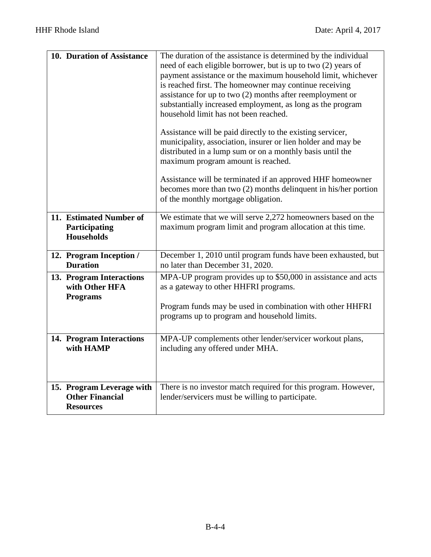| 10. Duration of Assistance                                              | The duration of the assistance is determined by the individual<br>need of each eligible borrower, but is up to two (2) years of<br>payment assistance or the maximum household limit, whichever<br>is reached first. The homeowner may continue receiving<br>assistance for up to two $(2)$ months after reemployment or<br>substantially increased employment, as long as the program<br>household limit has not been reached.<br>Assistance will be paid directly to the existing servicer,<br>municipality, association, insurer or lien holder and may be<br>distributed in a lump sum or on a monthly basis until the<br>maximum program amount is reached.<br>Assistance will be terminated if an approved HHF homeowner<br>becomes more than two (2) months delinquent in his/her portion<br>of the monthly mortgage obligation. |
|-------------------------------------------------------------------------|-----------------------------------------------------------------------------------------------------------------------------------------------------------------------------------------------------------------------------------------------------------------------------------------------------------------------------------------------------------------------------------------------------------------------------------------------------------------------------------------------------------------------------------------------------------------------------------------------------------------------------------------------------------------------------------------------------------------------------------------------------------------------------------------------------------------------------------------|
| 11. Estimated Number of<br>Participating<br><b>Households</b>           | We estimate that we will serve 2,272 homeowners based on the<br>maximum program limit and program allocation at this time.                                                                                                                                                                                                                                                                                                                                                                                                                                                                                                                                                                                                                                                                                                              |
| 12. Program Inception /<br><b>Duration</b>                              | December 1, 2010 until program funds have been exhausted, but<br>no later than December 31, 2020.                                                                                                                                                                                                                                                                                                                                                                                                                                                                                                                                                                                                                                                                                                                                       |
| 13. Program Interactions<br>with Other HFA<br><b>Programs</b>           | MPA-UP program provides up to \$50,000 in assistance and acts<br>as a gateway to other HHFRI programs.<br>Program funds may be used in combination with other HHFRI<br>programs up to program and household limits.                                                                                                                                                                                                                                                                                                                                                                                                                                                                                                                                                                                                                     |
| 14. Program Interactions<br>with HAMP                                   | MPA-UP complements other lender/servicer workout plans,<br>including any offered under MHA.                                                                                                                                                                                                                                                                                                                                                                                                                                                                                                                                                                                                                                                                                                                                             |
| 15. Program Leverage with<br><b>Other Financial</b><br><b>Resources</b> | There is no investor match required for this program. However,<br>lender/servicers must be willing to participate.                                                                                                                                                                                                                                                                                                                                                                                                                                                                                                                                                                                                                                                                                                                      |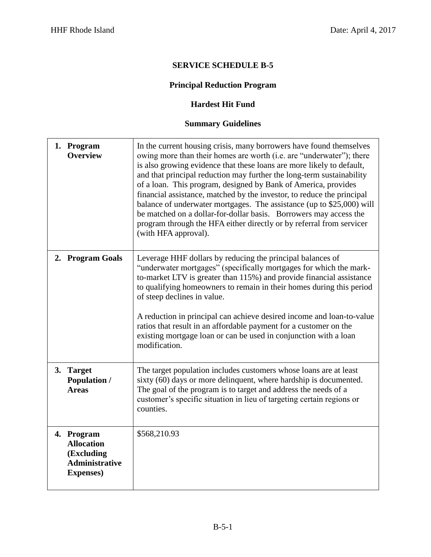# **Principal Reduction Program**

#### **Hardest Hit Fund**

| 1. Program<br><b>Overview</b>                                                               | In the current housing crisis, many borrowers have found themselves<br>owing more than their homes are worth (i.e. are "underwater"); there<br>is also growing evidence that these loans are more likely to default,<br>and that principal reduction may further the long-term sustainability<br>of a loan. This program, designed by Bank of America, provides<br>financial assistance, matched by the investor, to reduce the principal<br>balance of underwater mortgages. The assistance (up to \$25,000) will<br>be matched on a dollar-for-dollar basis. Borrowers may access the<br>program through the HFA either directly or by referral from servicer<br>(with HFA approval). |
|---------------------------------------------------------------------------------------------|-----------------------------------------------------------------------------------------------------------------------------------------------------------------------------------------------------------------------------------------------------------------------------------------------------------------------------------------------------------------------------------------------------------------------------------------------------------------------------------------------------------------------------------------------------------------------------------------------------------------------------------------------------------------------------------------|
| 2. Program Goals                                                                            | Leverage HHF dollars by reducing the principal balances of<br>"underwater mortgages" (specifically mortgages for which the mark-<br>to-market LTV is greater than 115%) and provide financial assistance<br>to qualifying homeowners to remain in their homes during this period<br>of steep declines in value.<br>A reduction in principal can achieve desired income and loan-to-value<br>ratios that result in an affordable payment for a customer on the<br>existing mortgage loan or can be used in conjunction with a loan<br>modification.                                                                                                                                      |
| 3. Target<br><b>Population /</b><br><b>Areas</b>                                            | The target population includes customers whose loans are at least<br>sixty (60) days or more delinquent, where hardship is documented.<br>The goal of the program is to target and address the needs of a<br>customer's specific situation in lieu of targeting certain regions or<br>counties.                                                                                                                                                                                                                                                                                                                                                                                         |
| 4. Program<br><b>Allocation</b><br>(Excluding<br><b>Administrative</b><br><b>Expenses</b> ) | \$568,210.93                                                                                                                                                                                                                                                                                                                                                                                                                                                                                                                                                                                                                                                                            |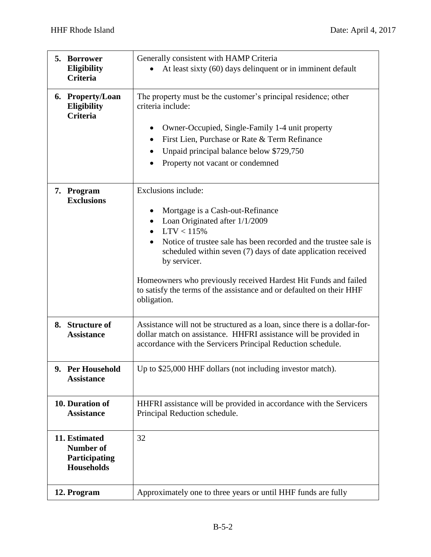|    | 5. Borrower<br>Eligibility<br><b>Criteria</b>                           | Generally consistent with HAMP Criteria<br>At least sixty (60) days delinquent or in imminent default                                                                                                                                                                                                                                                                                                                                               |
|----|-------------------------------------------------------------------------|-----------------------------------------------------------------------------------------------------------------------------------------------------------------------------------------------------------------------------------------------------------------------------------------------------------------------------------------------------------------------------------------------------------------------------------------------------|
|    | 6. Property/Loan<br><b>Eligibility</b><br><b>Criteria</b>               | The property must be the customer's principal residence; other<br>criteria include:<br>Owner-Occupied, Single-Family 1-4 unit property<br>First Lien, Purchase or Rate & Term Refinance<br>$\bullet$<br>Unpaid principal balance below \$729,750<br>Property not vacant or condemned                                                                                                                                                                |
|    | 7. Program<br><b>Exclusions</b>                                         | Exclusions include:<br>Mortgage is a Cash-out-Refinance<br>$\bullet$<br>Loan Originated after 1/1/2009<br>$\bullet$<br>• $LTV < 115%$<br>Notice of trustee sale has been recorded and the trustee sale is<br>scheduled within seven (7) days of date application received<br>by servicer.<br>Homeowners who previously received Hardest Hit Funds and failed<br>to satisfy the terms of the assistance and or defaulted on their HHF<br>obligation. |
| 8. | <b>Structure of</b><br><b>Assistance</b>                                | Assistance will not be structured as a loan, since there is a dollar-for-<br>dollar match on assistance. HHFRI assistance will be provided in<br>accordance with the Servicers Principal Reduction schedule.                                                                                                                                                                                                                                        |
|    | 9. Per Household<br><b>Assistance</b>                                   | Up to \$25,000 HHF dollars (not including investor match).                                                                                                                                                                                                                                                                                                                                                                                          |
|    | 10. Duration of<br><b>Assistance</b>                                    | HHFRI assistance will be provided in accordance with the Servicers<br>Principal Reduction schedule.                                                                                                                                                                                                                                                                                                                                                 |
|    | 11. Estimated<br><b>Number of</b><br>Participating<br><b>Households</b> | 32                                                                                                                                                                                                                                                                                                                                                                                                                                                  |
|    | 12. Program                                                             | Approximately one to three years or until HHF funds are fully                                                                                                                                                                                                                                                                                                                                                                                       |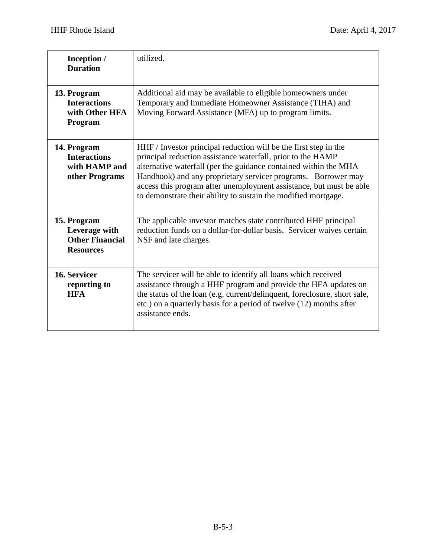| Inception /<br><b>Duration</b>                                             | utilized.                                                                                                                                                                                                                                                                                                                                                                                                     |
|----------------------------------------------------------------------------|---------------------------------------------------------------------------------------------------------------------------------------------------------------------------------------------------------------------------------------------------------------------------------------------------------------------------------------------------------------------------------------------------------------|
| 13. Program<br><b>Interactions</b><br>with Other HFA<br>Program            | Additional aid may be available to eligible homeowners under<br>Temporary and Immediate Homeowner Assistance (TIHA) and<br>Moving Forward Assistance (MFA) up to program limits.                                                                                                                                                                                                                              |
| 14. Program<br><b>Interactions</b><br>with HAMP and<br>other Programs      | HHF / Investor principal reduction will be the first step in the<br>principal reduction assistance waterfall, prior to the HAMP<br>alternative waterfall (per the guidance contained within the MHA<br>Handbook) and any proprietary servicer programs. Borrower may<br>access this program after unemployment assistance, but must be able<br>to demonstrate their ability to sustain the modified mortgage. |
| 15. Program<br>Leverage with<br><b>Other Financial</b><br><b>Resources</b> | The applicable investor matches state contributed HHF principal<br>reduction funds on a dollar-for-dollar basis. Servicer waives certain<br>NSF and late charges.                                                                                                                                                                                                                                             |
| 16. Servicer<br>reporting to<br><b>HFA</b>                                 | The servicer will be able to identify all loans which received<br>assistance through a HHF program and provide the HFA updates on<br>the status of the loan (e.g. current/delinquent, foreclosure, short sale,<br>etc.) on a quarterly basis for a period of twelve (12) months after<br>assistance ends.                                                                                                     |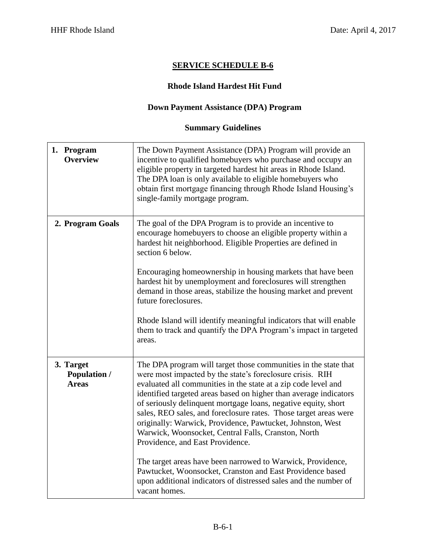#### **Rhode Island Hardest Hit Fund**

#### **Down Payment Assistance (DPA) Program**

| 1. Program<br><b>Overview</b>                    | The Down Payment Assistance (DPA) Program will provide an<br>incentive to qualified homebuyers who purchase and occupy an<br>eligible property in targeted hardest hit areas in Rhode Island.<br>The DPA loan is only available to eligible homebuyers who<br>obtain first mortgage financing through Rhode Island Housing's<br>single-family mortgage program.                                                                                                                                                                                                                                                                                                                                                                                                                     |
|--------------------------------------------------|-------------------------------------------------------------------------------------------------------------------------------------------------------------------------------------------------------------------------------------------------------------------------------------------------------------------------------------------------------------------------------------------------------------------------------------------------------------------------------------------------------------------------------------------------------------------------------------------------------------------------------------------------------------------------------------------------------------------------------------------------------------------------------------|
| 2. Program Goals                                 | The goal of the DPA Program is to provide an incentive to<br>encourage homebuyers to choose an eligible property within a<br>hardest hit neighborhood. Eligible Properties are defined in<br>section 6 below.<br>Encouraging homeownership in housing markets that have been<br>hardest hit by unemployment and foreclosures will strengthen<br>demand in those areas, stabilize the housing market and prevent<br>future foreclosures.<br>Rhode Island will identify meaningful indicators that will enable<br>them to track and quantify the DPA Program's impact in targeted<br>areas.                                                                                                                                                                                           |
| 3. Target<br><b>Population /</b><br><b>Areas</b> | The DPA program will target those communities in the state that<br>were most impacted by the state's foreclosure crisis. RIH<br>evaluated all communities in the state at a zip code level and<br>identified targeted areas based on higher than average indicators<br>of seriously delinquent mortgage loans, negative equity, short<br>sales, REO sales, and foreclosure rates. Those target areas were<br>originally: Warwick, Providence, Pawtucket, Johnston, West<br>Warwick, Woonsocket, Central Falls, Cranston, North<br>Providence, and East Providence.<br>The target areas have been narrowed to Warwick, Providence,<br>Pawtucket, Woonsocket, Cranston and East Providence based<br>upon additional indicators of distressed sales and the number of<br>vacant homes. |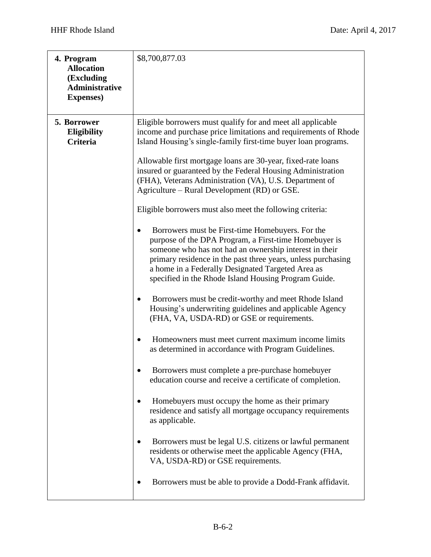| 4. Program<br><b>Allocation</b><br>(Excluding<br><b>Administrative</b><br><b>Expenses</b> ) | \$8,700,877.03                                                                                                                                                                                                                                                                                                                                   |
|---------------------------------------------------------------------------------------------|--------------------------------------------------------------------------------------------------------------------------------------------------------------------------------------------------------------------------------------------------------------------------------------------------------------------------------------------------|
| 5. Borrower<br><b>Eligibility</b><br><b>Criteria</b>                                        | Eligible borrowers must qualify for and meet all applicable<br>income and purchase price limitations and requirements of Rhode<br>Island Housing's single-family first-time buyer loan programs.                                                                                                                                                 |
|                                                                                             | Allowable first mortgage loans are 30-year, fixed-rate loans<br>insured or guaranteed by the Federal Housing Administration<br>(FHA), Veterans Administration (VA), U.S. Department of<br>Agriculture - Rural Development (RD) or GSE.                                                                                                           |
|                                                                                             | Eligible borrowers must also meet the following criteria:                                                                                                                                                                                                                                                                                        |
|                                                                                             | Borrowers must be First-time Homebuyers. For the<br>purpose of the DPA Program, a First-time Homebuyer is<br>someone who has not had an ownership interest in their<br>primary residence in the past three years, unless purchasing<br>a home in a Federally Designated Targeted Area as<br>specified in the Rhode Island Housing Program Guide. |
|                                                                                             | Borrowers must be credit-worthy and meet Rhode Island<br>Housing's underwriting guidelines and applicable Agency<br>(FHA, VA, USDA-RD) or GSE or requirements.                                                                                                                                                                                   |
|                                                                                             | Homeowners must meet current maximum income limits<br>$\bullet$<br>as determined in accordance with Program Guidelines.                                                                                                                                                                                                                          |
|                                                                                             | Borrowers must complete a pre-purchase homebuyer<br>education course and receive a certificate of completion.                                                                                                                                                                                                                                    |
|                                                                                             | Homebuyers must occupy the home as their primary<br>residence and satisfy all mortgage occupancy requirements<br>as applicable.                                                                                                                                                                                                                  |
|                                                                                             | Borrowers must be legal U.S. citizens or lawful permanent<br>residents or otherwise meet the applicable Agency (FHA,<br>VA, USDA-RD) or GSE requirements.                                                                                                                                                                                        |
|                                                                                             | Borrowers must be able to provide a Dodd-Frank affidavit.                                                                                                                                                                                                                                                                                        |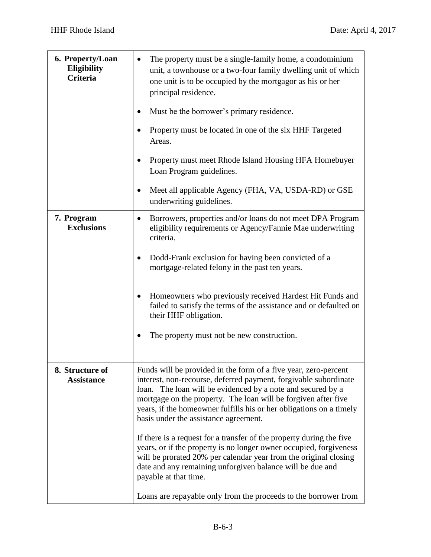| 6. Property/Loan<br><b>Eligibility</b><br><b>Criteria</b> | The property must be a single-family home, a condominium<br>unit, a townhouse or a two-four family dwelling unit of which<br>one unit is to be occupied by the mortgagor as his or her<br>principal residence.                                                                                                                                                                       |
|-----------------------------------------------------------|--------------------------------------------------------------------------------------------------------------------------------------------------------------------------------------------------------------------------------------------------------------------------------------------------------------------------------------------------------------------------------------|
|                                                           | Must be the borrower's primary residence.                                                                                                                                                                                                                                                                                                                                            |
|                                                           | Property must be located in one of the six HHF Targeted<br>Areas.                                                                                                                                                                                                                                                                                                                    |
|                                                           | Property must meet Rhode Island Housing HFA Homebuyer<br>Loan Program guidelines.                                                                                                                                                                                                                                                                                                    |
|                                                           | Meet all applicable Agency (FHA, VA, USDA-RD) or GSE<br>٠<br>underwriting guidelines.                                                                                                                                                                                                                                                                                                |
| 7. Program<br><b>Exclusions</b>                           | Borrowers, properties and/or loans do not meet DPA Program<br>٠<br>eligibility requirements or Agency/Fannie Mae underwriting<br>criteria.                                                                                                                                                                                                                                           |
|                                                           | Dodd-Frank exclusion for having been convicted of a<br>٠<br>mortgage-related felony in the past ten years.                                                                                                                                                                                                                                                                           |
|                                                           | Homeowners who previously received Hardest Hit Funds and<br>٠<br>failed to satisfy the terms of the assistance and or defaulted on<br>their HHF obligation.                                                                                                                                                                                                                          |
|                                                           | The property must not be new construction.                                                                                                                                                                                                                                                                                                                                           |
| 8. Structure of<br><b>Assistance</b>                      | Funds will be provided in the form of a five year, zero-percent<br>interest, non-recourse, deferred payment, forgivable subordinate<br>loan. The loan will be evidenced by a note and secured by a<br>mortgage on the property. The loan will be forgiven after five<br>years, if the homeowner fulfills his or her obligations on a timely<br>basis under the assistance agreement. |
|                                                           | If there is a request for a transfer of the property during the five<br>years, or if the property is no longer owner occupied, forgiveness<br>will be prorated 20% per calendar year from the original closing<br>date and any remaining unforgiven balance will be due and<br>payable at that time.                                                                                 |
|                                                           | Loans are repayable only from the proceeds to the borrower from                                                                                                                                                                                                                                                                                                                      |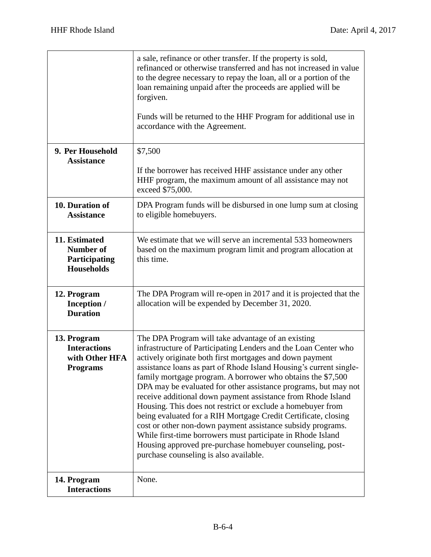|                                                                         | a sale, refinance or other transfer. If the property is sold,<br>refinanced or otherwise transferred and has not increased in value<br>to the degree necessary to repay the loan, all or a portion of the<br>loan remaining unpaid after the proceeds are applied will be<br>forgiven.<br>Funds will be returned to the HHF Program for additional use in<br>accordance with the Agreement.                                                                                                                                                                                                                                                                                                                                                                                                                                     |
|-------------------------------------------------------------------------|---------------------------------------------------------------------------------------------------------------------------------------------------------------------------------------------------------------------------------------------------------------------------------------------------------------------------------------------------------------------------------------------------------------------------------------------------------------------------------------------------------------------------------------------------------------------------------------------------------------------------------------------------------------------------------------------------------------------------------------------------------------------------------------------------------------------------------|
| 9. Per Household<br><b>Assistance</b>                                   | \$7,500<br>If the borrower has received HHF assistance under any other<br>HHF program, the maximum amount of all assistance may not<br>exceed \$75,000.                                                                                                                                                                                                                                                                                                                                                                                                                                                                                                                                                                                                                                                                         |
| 10. Duration of<br><b>Assistance</b>                                    | DPA Program funds will be disbursed in one lump sum at closing<br>to eligible homebuyers.                                                                                                                                                                                                                                                                                                                                                                                                                                                                                                                                                                                                                                                                                                                                       |
| 11. Estimated<br><b>Number of</b><br>Participating<br><b>Households</b> | We estimate that we will serve an incremental 533 homeowners<br>based on the maximum program limit and program allocation at<br>this time.                                                                                                                                                                                                                                                                                                                                                                                                                                                                                                                                                                                                                                                                                      |
| 12. Program<br>Inception /<br><b>Duration</b>                           | The DPA Program will re-open in 2017 and it is projected that the<br>allocation will be expended by December 31, 2020.                                                                                                                                                                                                                                                                                                                                                                                                                                                                                                                                                                                                                                                                                                          |
| 13. Program<br><b>Interactions</b><br>with Other HFA<br><b>Programs</b> | The DPA Program will take advantage of an existing<br>infrastructure of Participating Lenders and the Loan Center who<br>actively originate both first mortgages and down payment<br>assistance loans as part of Rhode Island Housing's current single-<br>family mortgage program. A borrower who obtains the \$7,500<br>DPA may be evaluated for other assistance programs, but may not<br>receive additional down payment assistance from Rhode Island<br>Housing. This does not restrict or exclude a homebuyer from<br>being evaluated for a RIH Mortgage Credit Certificate, closing<br>cost or other non-down payment assistance subsidy programs.<br>While first-time borrowers must participate in Rhode Island<br>Housing approved pre-purchase homebuyer counseling, post-<br>purchase counseling is also available. |
| 14. Program<br><b>Interactions</b>                                      | None.                                                                                                                                                                                                                                                                                                                                                                                                                                                                                                                                                                                                                                                                                                                                                                                                                           |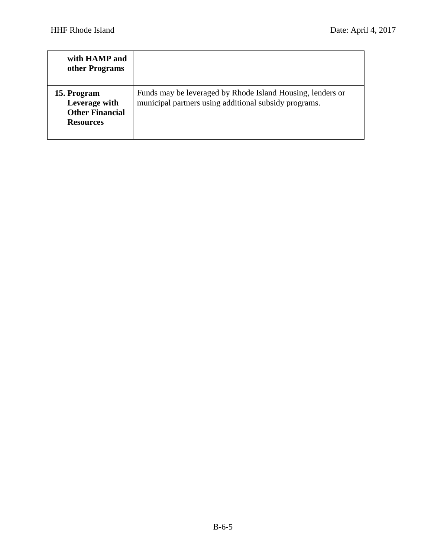| with HAMP and<br>other Programs                                            |                                                                                                                     |
|----------------------------------------------------------------------------|---------------------------------------------------------------------------------------------------------------------|
| 15. Program<br>Leverage with<br><b>Other Financial</b><br><b>Resources</b> | Funds may be leveraged by Rhode Island Housing, lenders or<br>municipal partners using additional subsidy programs. |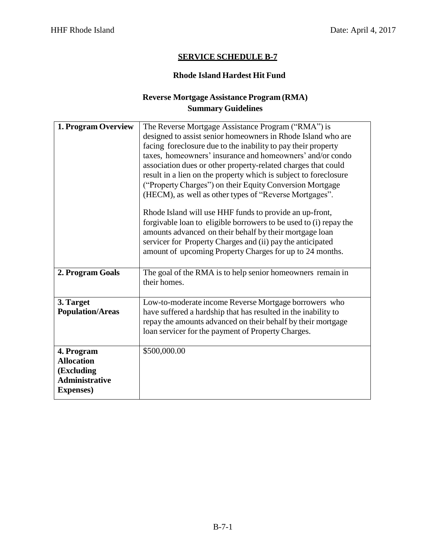#### **Rhode Island Hardest Hit Fund**

# **Reverse Mortgage Assistance Program (RMA) Summary Guidelines**

| 1. Program Overview                                                                         | The Reverse Mortgage Assistance Program ("RMA") is<br>designed to assist senior homeowners in Rhode Island who are<br>facing foreclosure due to the inability to pay their property<br>taxes, homeowners' insurance and homeowners' and/or condo<br>association dues or other property-related charges that could<br>result in a lien on the property which is subject to foreclosure<br>("Property Charges") on their Equity Conversion Mortgage<br>(HECM), as well as other types of "Reverse Mortgages".<br>Rhode Island will use HHF funds to provide an up-front,<br>forgivable loan to eligible borrowers to be used to (i) repay the<br>amounts advanced on their behalf by their mortgage loan |
|---------------------------------------------------------------------------------------------|--------------------------------------------------------------------------------------------------------------------------------------------------------------------------------------------------------------------------------------------------------------------------------------------------------------------------------------------------------------------------------------------------------------------------------------------------------------------------------------------------------------------------------------------------------------------------------------------------------------------------------------------------------------------------------------------------------|
|                                                                                             | servicer for Property Charges and (ii) pay the anticipated<br>amount of upcoming Property Charges for up to 24 months.                                                                                                                                                                                                                                                                                                                                                                                                                                                                                                                                                                                 |
| 2. Program Goals                                                                            | The goal of the RMA is to help senior homeowners remain in<br>their homes.                                                                                                                                                                                                                                                                                                                                                                                                                                                                                                                                                                                                                             |
| 3. Target<br><b>Population/Areas</b>                                                        | Low-to-moderate income Reverse Mortgage borrowers who<br>have suffered a hardship that has resulted in the inability to<br>repay the amounts advanced on their behalf by their mortgage<br>loan servicer for the payment of Property Charges.                                                                                                                                                                                                                                                                                                                                                                                                                                                          |
| 4. Program<br><b>Allocation</b><br>(Excluding<br><b>Administrative</b><br><b>Expenses</b> ) | \$500,000.00                                                                                                                                                                                                                                                                                                                                                                                                                                                                                                                                                                                                                                                                                           |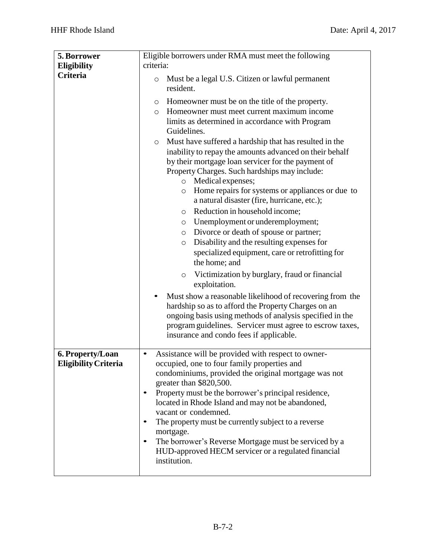| 5. Borrower                 | Eligible borrowers under RMA must meet the following               |
|-----------------------------|--------------------------------------------------------------------|
| <b>Eligibility</b>          | criteria:                                                          |
| <b>Criteria</b>             |                                                                    |
|                             | Must be a legal U.S. Citizen or lawful permanent<br>O<br>resident. |
|                             | Homeowner must be on the title of the property.<br>O               |
|                             | Homeowner must meet current maximum income<br>$\circ$              |
|                             | limits as determined in accordance with Program                    |
|                             | Guidelines.                                                        |
|                             | Must have suffered a hardship that has resulted in the<br>$\circ$  |
|                             | inability to repay the amounts advanced on their behalf            |
|                             | by their mortgage loan servicer for the payment of                 |
|                             | Property Charges. Such hardships may include:                      |
|                             | Medical expenses;<br>$\circ$                                       |
|                             | Home repairs for systems or appliances or due to<br>$\circ$        |
|                             | a natural disaster (fire, hurricane, etc.);                        |
|                             | Reduction in household income;<br>$\circ$                          |
|                             | Unemployment or underemployment;<br>O                              |
|                             | Divorce or death of spouse or partner;<br>$\circ$                  |
|                             | Disability and the resulting expenses for<br>$\circ$               |
|                             | specialized equipment, care or retrofitting for                    |
|                             | the home; and                                                      |
|                             | Victimization by burglary, fraud or financial<br>$\circ$           |
|                             | exploitation.                                                      |
|                             | Must show a reasonable likelihood of recovering from the           |
|                             | hardship so as to afford the Property Charges on an                |
|                             | ongoing basis using methods of analysis specified in the           |
|                             | program guidelines. Servicer must agree to escrow taxes,           |
|                             | insurance and condo fees if applicable.                            |
|                             |                                                                    |
| 6. Property/Loan            | Assistance will be provided with respect to owner-                 |
| <b>Eligibility Criteria</b> | occupied, one to four family properties and                        |
|                             | condominiums, provided the original mortgage was not               |
|                             | greater than \$820,500.                                            |
|                             | Property must be the borrower's principal residence,               |
|                             | located in Rhode Island and may not be abandoned,                  |
|                             | vacant or condemned.                                               |
|                             | The property must be currently subject to a reverse                |
|                             | mortgage.                                                          |
|                             | The borrower's Reverse Mortgage must be serviced by a<br>$\bullet$ |
|                             | HUD-approved HECM servicer or a regulated financial                |
|                             | institution.                                                       |
|                             |                                                                    |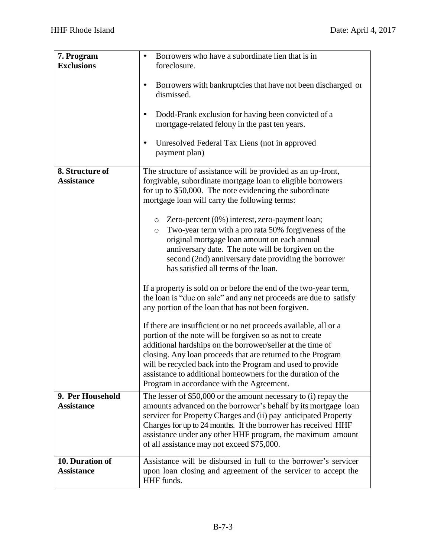| 7. Program<br><b>Exclusions</b>       | Borrowers who have a subordinate lien that is in<br>$\bullet$<br>foreclosure.                                                                                                                                                                                                                                                                                                                                                       |  |  |
|---------------------------------------|-------------------------------------------------------------------------------------------------------------------------------------------------------------------------------------------------------------------------------------------------------------------------------------------------------------------------------------------------------------------------------------------------------------------------------------|--|--|
|                                       | Borrowers with bankruptcies that have not been discharged or<br>٠<br>dismissed.                                                                                                                                                                                                                                                                                                                                                     |  |  |
|                                       | Dodd-Frank exclusion for having been convicted of a<br>$\bullet$<br>mortgage-related felony in the past ten years.                                                                                                                                                                                                                                                                                                                  |  |  |
|                                       | Unresolved Federal Tax Liens (not in approved<br>$\bullet$<br>payment plan)                                                                                                                                                                                                                                                                                                                                                         |  |  |
| 8. Structure of<br><b>Assistance</b>  | The structure of assistance will be provided as an up-front,<br>forgivable, subordinate mortgage loan to eligible borrowers<br>for up to \$50,000. The note evidencing the subordinate<br>mortgage loan will carry the following terms:                                                                                                                                                                                             |  |  |
|                                       | Zero-percent (0%) interest, zero-payment loan;<br>$\circ$<br>Two-year term with a pro rata 50% for giveness of the<br>$\circ$<br>original mortgage loan amount on each annual<br>anniversary date. The note will be forgiven on the<br>second (2nd) anniversary date providing the borrower<br>has satisfied all terms of the loan.                                                                                                 |  |  |
|                                       | If a property is sold on or before the end of the two-year term,<br>the loan is "due on sale" and any net proceeds are due to satisfy<br>any portion of the loan that has not been forgiven.                                                                                                                                                                                                                                        |  |  |
|                                       | If there are insufficient or no net proceeds available, all or a<br>portion of the note will be forgiven so as not to create<br>additional hardships on the borrower/seller at the time of<br>closing. Any loan proceeds that are returned to the Program<br>will be recycled back into the Program and used to provide<br>assistance to additional homeowners for the duration of the<br>Program in accordance with the Agreement. |  |  |
| 9. Per Household<br><b>Assistance</b> | The lesser of \$50,000 or the amount necessary to (i) repay the<br>amounts advanced on the borrower's behalf by its mortgage loan<br>servicer for Property Charges and (ii) pay anticipated Property<br>Charges for up to 24 months. If the borrower has received HHF<br>assistance under any other HHF program, the maximum amount<br>of all assistance may not exceed \$75,000.                                                   |  |  |
| 10. Duration of<br><b>Assistance</b>  | Assistance will be disbursed in full to the borrower's servicer<br>upon loan closing and agreement of the servicer to accept the<br>HHF funds.                                                                                                                                                                                                                                                                                      |  |  |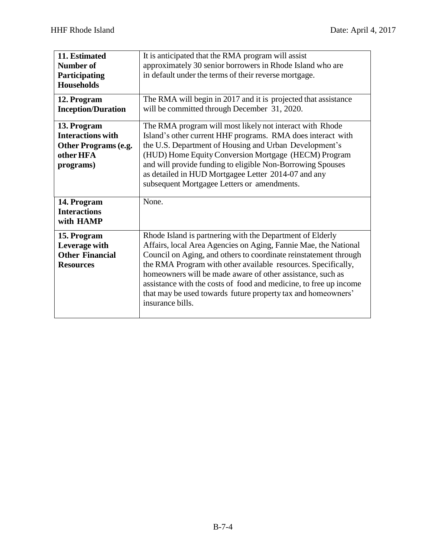| 11. Estimated<br><b>Number of</b><br>Participating<br><b>Households</b><br>12. Program<br><b>Inception/Duration</b> | It is anticipated that the RMA program will assist<br>approximately 30 senior borrowers in Rhode Island who are<br>in default under the terms of their reverse mortgage.<br>The RMA will begin in 2017 and it is projected that assistance<br>will be committed through December 31, 2020.                                                                                                                                                                                               |  |
|---------------------------------------------------------------------------------------------------------------------|------------------------------------------------------------------------------------------------------------------------------------------------------------------------------------------------------------------------------------------------------------------------------------------------------------------------------------------------------------------------------------------------------------------------------------------------------------------------------------------|--|
| 13. Program<br><b>Interactions with</b><br>Other Programs (e.g.<br>other HFA<br>programs)                           | The RMA program will most likely not interact with Rhode<br>Island's other current HHF programs. RMA does interact with<br>the U.S. Department of Housing and Urban Development's<br>(HUD) Home Equity Conversion Mortgage (HECM) Program<br>and will provide funding to eligible Non-Borrowing Spouses<br>as detailed in HUD Mortgagee Letter 2014-07 and any<br>subsequent Mortgagee Letters or amendments.                                                                            |  |
| 14. Program<br><b>Interactions</b><br>with HAMP                                                                     | None.                                                                                                                                                                                                                                                                                                                                                                                                                                                                                    |  |
| 15. Program<br>Leverage with<br><b>Other Financial</b><br><b>Resources</b>                                          | Rhode Island is partnering with the Department of Elderly<br>Affairs, local Area Agencies on Aging, Fannie Mae, the National<br>Council on Aging, and others to coordinate reinstatement through<br>the RMA Program with other available resources. Specifically,<br>homeowners will be made aware of other assistance, such as<br>assistance with the costs of food and medicine, to free up income<br>that may be used towards future property tax and homeowners'<br>insurance bills. |  |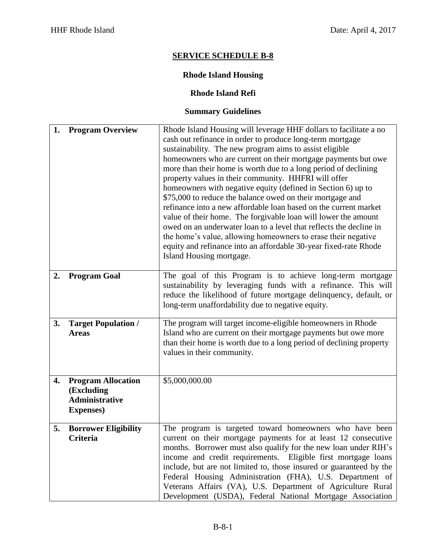# **Rhode Island Housing**

#### **Rhode Island Refi**

| 1. | <b>Program Overview</b>                                                               | Rhode Island Housing will leverage HHF dollars to facilitate a no<br>cash out refinance in order to produce long-term mortgage<br>sustainability. The new program aims to assist eligible<br>homeowners who are current on their mortgage payments but owe<br>more than their home is worth due to a long period of declining<br>property values in their community. HHFRI will offer<br>homeowners with negative equity (defined in Section 6) up to<br>\$75,000 to reduce the balance owed on their mortgage and<br>refinance into a new affordable loan based on the current market<br>value of their home. The forgivable loan will lower the amount<br>owed on an underwater loan to a level that reflects the decline in<br>the home's value, allowing homeowners to erase their negative<br>equity and refinance into an affordable 30-year fixed-rate Rhode<br>Island Housing mortgage. |  |
|----|---------------------------------------------------------------------------------------|-------------------------------------------------------------------------------------------------------------------------------------------------------------------------------------------------------------------------------------------------------------------------------------------------------------------------------------------------------------------------------------------------------------------------------------------------------------------------------------------------------------------------------------------------------------------------------------------------------------------------------------------------------------------------------------------------------------------------------------------------------------------------------------------------------------------------------------------------------------------------------------------------|--|
| 2. | <b>Program Goal</b>                                                                   | The goal of this Program is to achieve long-term mortgage<br>sustainability by leveraging funds with a refinance. This will<br>reduce the likelihood of future mortgage delinquency, default, or<br>long-term unaffordability due to negative equity.                                                                                                                                                                                                                                                                                                                                                                                                                                                                                                                                                                                                                                           |  |
| 3. | <b>Target Population /</b><br><b>Areas</b>                                            | The program will target income-eligible homeowners in Rhode<br>Island who are current on their mortgage payments but owe more<br>than their home is worth due to a long period of declining property<br>values in their community.                                                                                                                                                                                                                                                                                                                                                                                                                                                                                                                                                                                                                                                              |  |
| 4. | <b>Program Allocation</b><br>(Excluding<br><b>Administrative</b><br><b>Expenses</b> ) | \$5,000,000.00                                                                                                                                                                                                                                                                                                                                                                                                                                                                                                                                                                                                                                                                                                                                                                                                                                                                                  |  |
| 5. | <b>Borrower Eligibility</b><br><b>Criteria</b>                                        | The program is targeted toward homeowners who have been<br>current on their mortgage payments for at least 12 consecutive<br>months. Borrower must also qualify for the new loan under RIH's<br>income and credit requirements. Eligible first mortgage loans<br>include, but are not limited to, those insured or guaranteed by the<br>Federal Housing Administration (FHA), U.S. Department of<br>Veterans Affairs (VA), U.S. Department of Agriculture Rural<br>Development (USDA), Federal National Mortgage Association                                                                                                                                                                                                                                                                                                                                                                    |  |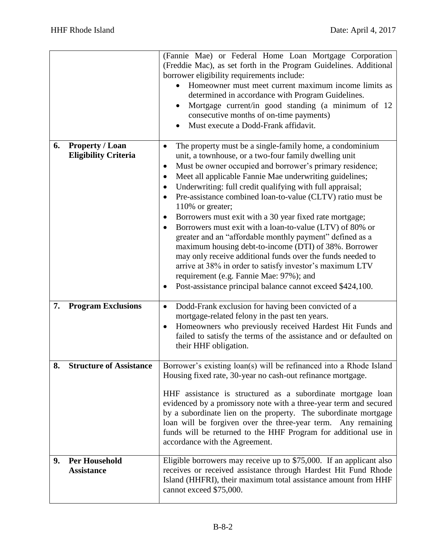|    |                                                       | (Fannie Mae) or Federal Home Loan Mortgage Corporation<br>(Freddie Mac), as set forth in the Program Guidelines. Additional<br>borrower eligibility requirements include:<br>Homeowner must meet current maximum income limits as<br>determined in accordance with Program Guidelines.<br>Mortgage current/in good standing (a minimum of 12<br>consecutive months of on-time payments)<br>Must execute a Dodd-Frank affidavit.                                                                                                                                                                                                                                                                                                                                                                                                                                                  |  |
|----|-------------------------------------------------------|----------------------------------------------------------------------------------------------------------------------------------------------------------------------------------------------------------------------------------------------------------------------------------------------------------------------------------------------------------------------------------------------------------------------------------------------------------------------------------------------------------------------------------------------------------------------------------------------------------------------------------------------------------------------------------------------------------------------------------------------------------------------------------------------------------------------------------------------------------------------------------|--|
| 6. | <b>Property / Loan</b><br><b>Eligibility Criteria</b> | The property must be a single-family home, a condominium<br>unit, a townhouse, or a two-four family dwelling unit<br>Must be owner occupied and borrower's primary residence;<br>٠<br>Meet all applicable Fannie Mae underwriting guidelines;<br>Underwriting: full credit qualifying with full appraisal;<br>Pre-assistance combined loan-to-value (CLTV) ratio must be<br>110% or greater;<br>Borrowers must exit with a 30 year fixed rate mortgage;<br>٠<br>Borrowers must exit with a loan-to-value (LTV) of 80% or<br>greater and an "affordable monthly payment" defined as a<br>maximum housing debt-to-income (DTI) of 38%. Borrower<br>may only receive additional funds over the funds needed to<br>arrive at 38% in order to satisfy investor's maximum LTV<br>requirement (e.g. Fannie Mae: 97%); and<br>Post-assistance principal balance cannot exceed \$424,100. |  |
| 7. | <b>Program Exclusions</b>                             | Dodd-Frank exclusion for having been convicted of a<br>$\bullet$<br>mortgage-related felony in the past ten years.<br>Homeowners who previously received Hardest Hit Funds and<br>$\bullet$<br>failed to satisfy the terms of the assistance and or defaulted on<br>their HHF obligation.                                                                                                                                                                                                                                                                                                                                                                                                                                                                                                                                                                                        |  |
| 8. | <b>Structure of Assistance</b>                        | Borrower's existing loan(s) will be refinanced into a Rhode Island<br>Housing fixed rate, 30-year no cash-out refinance mortgage.<br>HHF assistance is structured as a subordinate mortgage loan<br>evidenced by a promissory note with a three-year term and secured<br>by a subordinate lien on the property. The subordinate mortgage<br>loan will be forgiven over the three-year term. Any remaining<br>funds will be returned to the HHF Program for additional use in<br>accordance with the Agreement.                                                                                                                                                                                                                                                                                                                                                                   |  |
| 9. | <b>Per Household</b><br><b>Assistance</b>             | Eligible borrowers may receive up to \$75,000. If an applicant also<br>receives or received assistance through Hardest Hit Fund Rhode<br>Island (HHFRI), their maximum total assistance amount from HHF<br>cannot exceed \$75,000.                                                                                                                                                                                                                                                                                                                                                                                                                                                                                                                                                                                                                                               |  |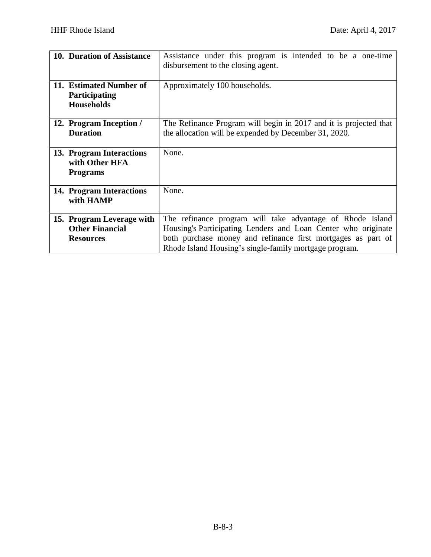| 10. Duration of Assistance                                              | Assistance under this program is intended to be a one-time<br>disbursement to the closing agent.                                                                                                                                                     |  |
|-------------------------------------------------------------------------|------------------------------------------------------------------------------------------------------------------------------------------------------------------------------------------------------------------------------------------------------|--|
| 11. Estimated Number of<br>Participating<br><b>Households</b>           | Approximately 100 households.                                                                                                                                                                                                                        |  |
| 12. Program Inception /<br><b>Duration</b>                              | The Refinance Program will begin in 2017 and it is projected that<br>the allocation will be expended by December 31, 2020.                                                                                                                           |  |
| 13. Program Interactions<br>with Other HFA<br><b>Programs</b>           | None.                                                                                                                                                                                                                                                |  |
| 14. Program Interactions<br>with HAMP                                   | None.                                                                                                                                                                                                                                                |  |
| 15. Program Leverage with<br><b>Other Financial</b><br><b>Resources</b> | The refinance program will take advantage of Rhode Island<br>Housing's Participating Lenders and Loan Center who originate<br>both purchase money and refinance first mortgages as part of<br>Rhode Island Housing's single-family mortgage program. |  |